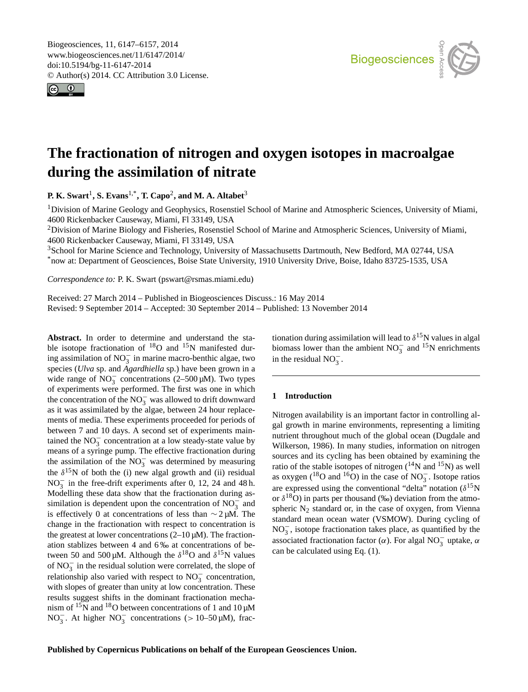<span id="page-0-1"></span>Biogeosciences, 11, 6147–6157, 2014 www.biogeosciences.net/11/6147/2014/ doi:10.5194/bg-11-6147-2014 © Author(s) 2014. CC Attribution 3.0 License.





# **The fractionation of nitrogen and oxygen isotopes in macroalgae during the assimilation of nitrate**

**P. K. Swart**[1](#page-0-0) **, S. Evans**[1,\\*](#page-0-0) **, T. Capo**[2](#page-0-0) **, and M. A. Altabet**[3](#page-0-0)

<sup>1</sup>Division of Marine Geology and Geophysics, Rosenstiel School of Marine and Atmospheric Sciences, University of Miami, 4600 Rickenbacker Causeway, Miami, Fl 33149, USA

<sup>2</sup>Division of Marine Biology and Fisheries, Rosenstiel School of Marine and Atmospheric Sciences, University of Miami, 4600 Rickenbacker Causeway, Miami, Fl 33149, USA

<sup>3</sup>School for Marine Science and Technology, University of Massachusetts Dartmouth, New Bedford, MA 02744, USA \*now at: Department of Geosciences, Boise State University, 1910 University Drive, Boise, Idaho 83725-1535, USA

*Correspondence to:* P. K. Swart (pswart@rsmas.miami.edu)

Received: 27 March 2014 – Published in Biogeosciences Discuss.: 16 May 2014 Revised: 9 September 2014 – Accepted: 30 September 2014 – Published: 13 November 2014

<span id="page-0-0"></span>**Abstract.** In order to determine and understand the stable isotope fractionation of  $^{18}$ O and  $^{15}$ N manifested during assimilation of  $NO_3^-$  in marine macro-benthic algae, two species (*Ulva* sp. and *Agardhiella* sp.) have been grown in a wide range of  $\text{NO}_3^-$  concentrations (2–500 µM). Two types of experiments were performed. The first was one in which the concentration of the  $NO_3^-$  was allowed to drift downward as it was assimilated by the algae, between 24 hour replacements of media. These experiments proceeded for periods of between 7 and 10 days. A second set of experiments maintained the  $NO_3^-$  concentration at a low steady-state value by means of a syringe pump. The effective fractionation during the assimilation of the  $NO_3^-$  was determined by measuring the  $\delta^{15}$ N of both the (i) new algal growth and (ii) residual  $NO<sub>3</sub><sup>-</sup>$  in the free-drift experiments after 0, 12, 24 and 48 h. Modelling these data show that the fractionation during assimilation is dependent upon the concentration of  $NO_3^-$  and is effectively 0 at concentrations of less than  $\sim$  2 µM. The change in the fractionation with respect to concentration is the greatest at lower concentrations  $(2-10 \,\mu\text{M})$ . The fractionation stablizes between 4 and 6 ‰ at concentrations of between 50 and 500  $\mu$ M. Although the  $\delta^{18}$ O and  $\delta^{15}$ N values of  $NO_3^-$  in the residual solution were correlated, the slope of relationship also varied with respect to  $NO_3^-$  concentration, with slopes of greater than unity at low concentration. These results suggest shifts in the dominant fractionation mechanism of  $15N$  and  $18O$  between concentrations of 1 and  $10 \mu M$ NO<sub>3</sub>. At higher NO<sub>3</sub> concentrations (> 10–50  $\mu$ M), fractionation during assimilation will lead to  $\delta^{15}$ N values in algal biomass lower than the ambient  $NO_3^-$  and <sup>15</sup>N enrichments in the residual  $NO_3^-$ .

# **1 Introduction**

Nitrogen availability is an important factor in controlling algal growth in marine environments, representing a limiting nutrient throughout much of the global ocean (Dugdale and Wilkerson, 1986). In many studies, information on nitrogen sources and its cycling has been obtained by examining the ratio of the stable isotopes of nitrogen  $(^{14}N$  and  $^{15}N$ ) as well as oxygen (<sup>18</sup>O and <sup>16</sup>O) in the case of NO<sub>3</sub>. Isotope ratios are expressed using the conventional "delta" notation  $(\delta^{15}N)$ or  $\delta^{18}$ O) in parts per thousand (‰) deviation from the atmospheric  $N<sub>2</sub>$  standard or, in the case of oxygen, from Vienna standard mean ocean water (VSMOW). During cycling of NO<sub>3</sub>, isotope fractionation takes place, as quantified by the associated fractionation factor ( $\alpha$ ). For algal NO<sub>3</sub> uptake,  $\alpha$ can be calculated using Eq. (1).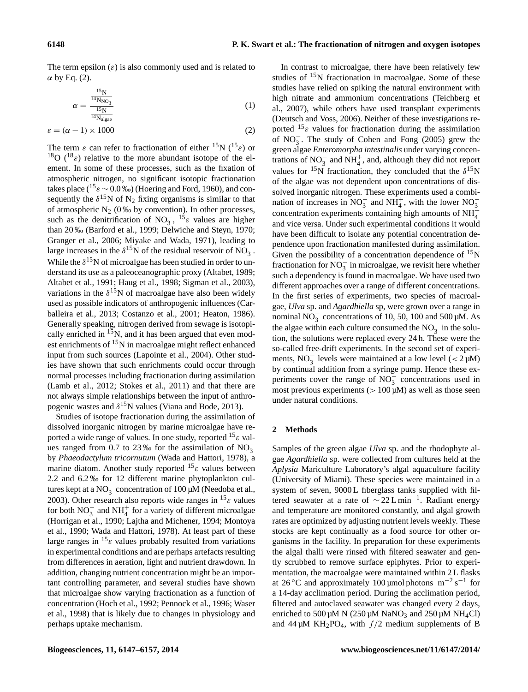The term epsilon  $(\varepsilon)$  is also commonly used and is related to  $\alpha$  by Eq. (2).

$$
\alpha = \frac{\frac{15_{\rm N}}{14_{\rm N_{\rm N_{\rm O}}}}}{\frac{15_{\rm N}}{14_{\rm N_{\rm algae}}}}
$$
(1)

$$
\varepsilon = (\alpha - 1) \times 1000\tag{2}
$$

The term  $\varepsilon$  can refer to fractionation of either <sup>15</sup>N (<sup>15</sup> $\varepsilon$ ) or <sup>18</sup>O (<sup>18</sup> $\varepsilon$ ) relative to the more abundant isotope of the element. In some of these processes, such as the fixation of atmospheric nitrogen, no significant isotopic fractionation takes place (<sup>15</sup> $\varepsilon$  ~ 0.0 ‰) (Hoering and Ford, 1960), and consequently the  $\delta^{15}N$  of  $N_2$  fixing organisms is similar to that of atmospheric  $N_2$  (0 ‰ by convention). In other processes, such as the denitrification of NO<sub>3</sub>, <sup>15</sup> $\varepsilon$  values are higher than 20 ‰ (Barford et al., 1999; Delwiche and Steyn, 1970; Granger et al., 2006; Miyake and Wada, 1971), leading to large increases in the  $\delta^{15}$ N of the residual reservoir of NO<sub>3</sub>. While the  $\delta^{15}N$  of microalgae has been studied in order to understand its use as a paleoceanographic proxy (Altabet, 1989; Altabet et al., 1991; Haug et al., 1998; Sigman et al., 2003), variations in the  $\delta^{15}$ N of macroalgae have also been widely used as possible indicators of anthropogenic influences (Carballeira et al., 2013; Costanzo et al., 2001; Heaton, 1986). Generally speaking, nitrogen derived from sewage is isotopically enriched in  $15N$ , and it has been argued that even modest enrichments of  $15N$  in macroalgae might reflect enhanced input from such sources (Lapointe et al., 2004). Other studies have shown that such enrichments could occur through normal processes including fractionation during assimilation (Lamb et al., 2012; Stokes et al., 2011) and that there are not always simple relationships between the input of anthropogenic wastes and  $\delta^{15}$ N values (Viana and Bode, 2013).

Studies of isotope fractionation during the assimilation of dissolved inorganic nitrogen by marine microalgae have reported a wide range of values. In one study, reported  $^{15}$  *s* values ranged from 0.7 to 23‰ for the assimilation of  $NO_3^$ by *Phaeodactylum tricornutum* (Wada and Hattori, 1978), a marine diatom. Another study reported  $15<sub>\epsilon</sub>$  values between 2.2 and 6.2 ‰ for 12 different marine phytoplankton cultures kept at a NO<sub>3</sub> concentration of 100  $\mu$ M (Needoba et al., 2003). Other research also reports wide ranges in  $^{15}$  *ε* values for both  $NO_3^-$  and  $NH_4^+$  for a variety of different microalgae (Horrigan et al., 1990; Lajtha and Michener, 1994; Montoya et al., 1990; Wada and Hattori, 1978). At least part of these large ranges in  ${}^{15}$ ε values probably resulted from variations in experimental conditions and are perhaps artefacts resulting from differences in aeration, light and nutrient drawdown. In addition, changing nutrient concentration might be an important controlling parameter, and several studies have shown that microalgae show varying fractionation as a function of concentration (Hoch et al., 1992; Pennock et al., 1996; Waser et al., 1998) that is likely due to changes in physiology and perhaps uptake mechanism.

In contrast to microalgae, there have been relatively few studies of  $15N$  fractionation in macroalgae. Some of these studies have relied on spiking the natural environment with high nitrate and ammonium concentrations (Teichberg et al., 2007), while others have used transplant experiments (Deutsch and Voss, 2006). Neither of these investigations reported <sup>15</sup> $\varepsilon$  values for fractionation during the assimilation of  $NO_3^-$ . The study of Cohen and Fong (2005) grew the green algae *Enteromorpha intestinalis* under varying concentrations of  $NO_3^-$  and  $NH_4^+$ , and, although they did not report values for <sup>15</sup>N fractionation, they concluded that the  $\delta^{15}N$ of the algae was not dependent upon concentrations of dissolved inorganic nitrogen. These experiments used a combination of increases in NO<sub>3</sub><sup>-</sup> and NH<sub>4</sub><sup>+</sup>, with the lower NO<sub>3</sub><sup>-</sup> concentration experiments containing high amounts of  $NH_4^+$ and vice versa. Under such experimental conditions it would have been difficult to isolate any potential concentration dependence upon fractionation manifested during assimilation. Given the possibility of a concentration dependence of  $^{15}N$ fractionation for  $NO_3^-$  in microalgae, we revisit here whether such a dependency is found in macroalgae. We have used two different approaches over a range of different concentrations. In the first series of experiments, two species of macroalgae, *Ulva* sp. and *Agardhiella* sp, were grown over a range in nominal  $NO_3^-$  concentrations of 10, 50, 100 and 500 µM. As the algae within each culture consumed the  $NO<sub>3</sub><sup>-</sup>$  in the solution, the solutions were replaced every 24 h. These were the so-called free-drift experiments. In the second set of experiments, NO<sub>3</sub> levels were maintained at a low level (< 2 µM) by continual addition from a syringe pump. Hence these experiments cover the range of  $NO_3^-$  concentrations used in most previous experiments ( $> 100 \mu M$ ) as well as those seen under natural conditions.

#### **2 Methods**

Samples of the green algae *Ulva* sp. and the rhodophyte algae *Agardhiella* sp. were collected from cultures held at the *Aplysia* Mariculture Laboratory's algal aquaculture facility (University of Miami). These species were maintained in a system of seven, 9000 L fiberglass tanks supplied with filtered seawater at a rate of ∼ 22 L min−<sup>1</sup> . Radiant energy and temperature are monitored constantly, and algal growth rates are optimized by adjusting nutrient levels weekly. These stocks are kept continually as a food source for other organisms in the facility. In preparation for these experiments the algal thalli were rinsed with filtered seawater and gently scrubbed to remove surface epiphytes. Prior to experimentation, the macroalgae were maintained within 2 L flasks at 26 °C and approximately 100 µmol photons  $m^{-2} s^{-1}$  for a 14-day acclimation period. During the acclimation period, filtered and autoclaved seawater was changed every 2 days, enriched to 500  $\mu$ M N (250  $\mu$ M NaNO<sub>3</sub> and 250  $\mu$ M NH<sub>4</sub>Cl) and 44  $\mu$ M KH<sub>2</sub>PO<sub>4</sub>, with  $f/2$  medium supplements of B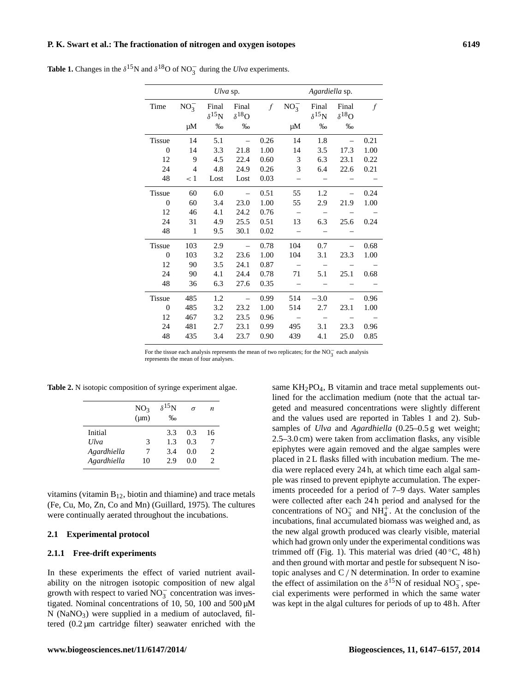# **P. K. Swart et al.: The fractionation of nitrogen and oxygen isotopes 6149**

|                | Ulva sp.       |                                  |                                  |               | Agardiella sp.                  |                                  |                                  |      |
|----------------|----------------|----------------------------------|----------------------------------|---------------|---------------------------------|----------------------------------|----------------------------------|------|
| Time           | $NO_3^-$<br>μM | Final<br>$\delta^{15}$ N<br>$\%$ | Final<br>$\delta^{18}$ O<br>$\%$ | $\mathcal{f}$ | $NO_3^-$<br>μM                  | Final<br>$\delta^{15}$ N<br>$\%$ | Final<br>$\delta^{18}$ O<br>$\%$ | f    |
| <b>Tissue</b>  | 14             | 5.1                              | $\equiv$                         | 0.26          | 14                              | 1.8                              |                                  | 0.21 |
| $\theta$       | 14             | 3.3                              | 21.8                             | 1.00          | 14                              | 3.5                              | 17.3                             | 1.00 |
| 12             | 9              | 4.5                              | 22.4                             | 0.60          | 3                               | 6.3                              | 23.1                             | 0.22 |
| 24             | $\overline{4}$ | 4.8                              | 24.9                             | 0.26          | 3                               | 6.4                              | 22.6                             | 0.21 |
| 48             | < 1            | Lost                             | Lost                             | 0.03          | $\overline{\phantom{0}}$        |                                  |                                  |      |
| <b>Tissue</b>  | 60             | 6.0                              | $\overline{\phantom{0}}$         | 0.51          | 55                              | 1.2                              |                                  | 0.24 |
| $\overline{0}$ | 60             | 3.4                              | 23.0                             | 1.00          | 55                              | 2.9                              | 21.9                             | 1.00 |
| 12             | 46             | 4.1                              | 24.2                             | 0.76          | $\hspace{0.1mm}-\hspace{0.1mm}$ | $\sim$                           |                                  |      |
| 24             | 31             | 4.9                              | 25.5                             | 0.51          | 13                              | 6.3                              | 25.6                             | 0.24 |
| 48             | $\mathbf{1}$   | 9.5                              | 30.1                             | 0.02          |                                 |                                  |                                  |      |
| <b>Tissue</b>  | 103            | 2.9                              | $\equiv$                         | 0.78          | 104                             | 0.7                              |                                  | 0.68 |
| $\Omega$       | 103            | 3.2                              | 23.6                             | 1.00          | 104                             | 3.1                              | 23.3                             | 1.00 |
| 12             | 90             | 3.5                              | 24.1                             | 0.87          | $\overline{\phantom{0}}$        |                                  |                                  |      |
| 24             | 90             | 4.1                              | 24.4                             | 0.78          | 71                              | 5.1                              | 25.1                             | 0.68 |
| 48             | 36             | 6.3                              | 27.6                             | 0.35          |                                 |                                  |                                  |      |
| <b>Tissue</b>  | 485            | 1.2                              | $\overline{\phantom{0}}$         | 0.99          | 514                             | $-3.0$                           |                                  | 0.96 |
| $\overline{0}$ | 485            | 3.2                              | 23.2                             | 1.00          | 514                             | 2.7                              | 23.1                             | 1.00 |
| 12             | 467            | 3.2                              | 23.5                             | 0.96          | $\sim$                          | $\sim$                           | $\overline{\phantom{0}}$         |      |
| 24             | 481            | 2.7                              | 23.1                             | 0.99          | 495                             | 3.1                              | 23.3                             | 0.96 |
| 48             | 435            | 3.4                              | 23.7                             | 0.90          | 439                             | 4.1                              | 25.0                             | 0.85 |

**Table 1.** Changes in the  $\delta^{15}N$  and  $\delta^{18}O$  of NO<sub>3</sub><sup>-</sup> during the *Ulva* experiments.

For the tissue each analysis represents the mean of two replicates; for the  $NO_3^-$  each analysis represents the mean of four analyses.

**Table 2.** N isotopic composition of syringe experiment algae.

|             | NO <sub>3</sub><br>$(\mu m)$ | $\delta^{15}$ N<br>$\%$ | σ   | n                             |
|-------------|------------------------------|-------------------------|-----|-------------------------------|
| Initial     |                              | 3.3                     | 0.3 | 16                            |
| Ulva        | 3                            | 13                      | 0.3 |                               |
| Agardhiella | 7                            | 3.4                     | 0.0 | $\mathfrak{D}_{\mathfrak{p}}$ |
| Agardhiella | 10                           | 29                      | 0.0 | $\mathcal{D}$                 |

vitamins (vitamin  $B_{12}$ , biotin and thiamine) and trace metals (Fe, Cu, Mo, Zn, Co and Mn) (Guillard, 1975). The cultures were continually aerated throughout the incubations.

#### **2.1 Experimental protocol**

#### **2.1.1 Free-drift experiments**

In these experiments the effect of varied nutrient availability on the nitrogen isotopic composition of new algal growth with respect to varied  $\overline{NO_3^-}$  concentration was investigated. Nominal concentrations of 10, 50, 100 and 500 µM  $N$  (NaNO<sub>3</sub>) were supplied in a medium of autoclaved, filtered (0.2 µm cartridge filter) seawater enriched with the same  $KH_2PO_4$ , B vitamin and trace metal supplements outlined for the acclimation medium (note that the actual targeted and measured concentrations were slightly different and the values used are reported in Tables 1 and 2). Subsamples of *Ulva* and *Agardhiella* (0.25–0.5 g wet weight; 2.5–3.0 cm) were taken from acclimation flasks, any visible epiphytes were again removed and the algae samples were placed in 2 L flasks filled with incubation medium. The media were replaced every 24 h, at which time each algal sample was rinsed to prevent epiphyte accumulation. The experiments proceeded for a period of 7–9 days. Water samples were collected after each 24 h period and analysed for the concentrations of  $NO_3^-$  and  $NH_4^+$ . At the conclusion of the incubations, final accumulated biomass was weighed and, as the new algal growth produced was clearly visible, material which had grown only under the experimental conditions was trimmed off (Fig. 1). This material was dried  $(40^{\circ}C, 48h)$ and then ground with mortar and pestle for subsequent N isotopic analyses and  $C/N$  determination. In order to examine the effect of assimilation on the  $\delta^{15}$ N of residual NO<sub>3</sub>, special experiments were performed in which the same water was kept in the algal cultures for periods of up to 48 h. After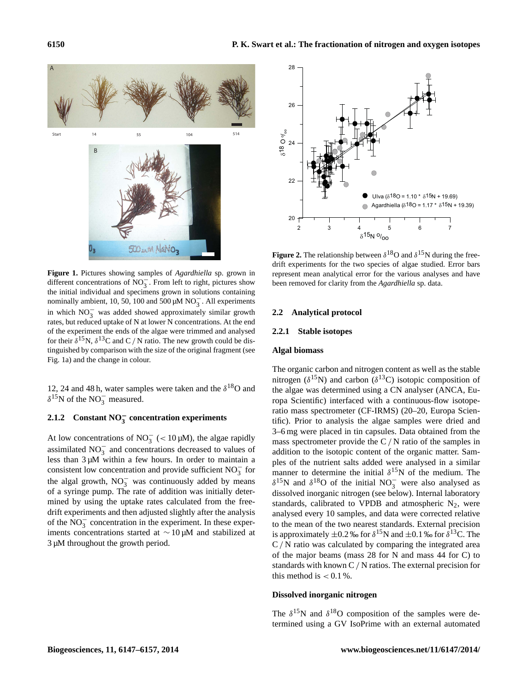

**Figure 1.** Pictures showing samples of *Agardhiella* sp. grown in different concentrations of NO<sup>−</sup> 3 . From left to right, pictures show the initial individual and specimens grown in solutions containing nominally ambient, 10, 50, 100 and 500  $\mu$ M NO<sub>3</sub>. All experiments in which  $NO_3^-$  was added showed approximately similar growth rates, but reduced uptake of N at lower N concentrations. At the end of the experiment the ends of the algae were trimmed and analysed for their  $\delta^{15}N$ ,  $\delta^{13}C$  and C / N ratio. The new growth could be distinguished by comparison with the size of the original fragment (see Fig. 1a) and the change in colour.

12, 24 and 48 h, water samples were taken and the  $\delta^{18}O$  and  $\delta^{15}$ N of the NO<sub>3</sub> measured.

# **2.1.2 Constant NO**<sup>−</sup> **3 concentration experiments**

At low concentrations of NO<sub>3</sub> (< 10 $\mu$ M), the algae rapidly assimilated  $NO_3^-$  and concentrations decreased to values of less than  $3 \mu M$  within a few hours. In order to maintain a consistent low concentration and provide sufficient  $NO_3^-$  for the algal growth,  $NO_3^-$  was continuously added by means of a syringe pump. The rate of addition was initially determined by using the uptake rates calculated from the freedrift experiments and then adjusted slightly after the analysis of the  $NO_3^-$  concentration in the experiment. In these experiments concentrations started at ∼ 10 µM and stabilized at 3 µM throughout the growth period.



**Figure 2.** The relationship between  $\delta^{18}$ O and  $\delta^{15}$ N during the freedrift experiments for the two species of algae studied. Error bars represent mean analytical error for the various analyses and have been removed for clarity from the *Agardhiella* sp. data.

#### **2.2 Analytical protocol**

#### **2.2.1 Stable isotopes**

#### **Algal biomass**

The organic carbon and nitrogen content as well as the stable nitrogen ( $\delta^{15}$ N) and carbon ( $\delta^{13}$ C) isotopic composition of the algae was determined using a CN analyser (ANCA, Europa Scientific) interfaced with a continuous-flow isotoperatio mass spectrometer (CF-IRMS) (20–20, Europa Scientific). Prior to analysis the algae samples were dried and 3–6 mg were placed in tin capsules. Data obtained from the mass spectrometer provide the  $C/N$  ratio of the samples in addition to the isotopic content of the organic matter. Samples of the nutrient salts added were analysed in a similar manner to determine the initial  $\delta^{15}$ N of the medium. The  $\delta^{15}$ N and  $\delta^{18}$ O of the initial NO<sub>3</sub> were also analysed as dissolved inorganic nitrogen (see below). Internal laboratory standards, calibrated to VPDB and atmospheric  $N_2$ , were analysed every 10 samples, and data were corrected relative to the mean of the two nearest standards. External precision is approximately  $\pm 0.2$  ‰ for  $\delta^{15}N$  and  $\pm 0.1$  ‰ for  $\delta^{13}C$ . The C/ N ratio was calculated by comparing the integrated area of the major beams (mass 28 for N and mass 44 for C) to standards with known C / N ratios. The external precision for this method is  $< 0.1 %$ .

#### **Dissolved inorganic nitrogen**

The  $\delta^{15}$ N and  $\delta^{18}$ O composition of the samples were determined using a GV IsoPrime with an external automated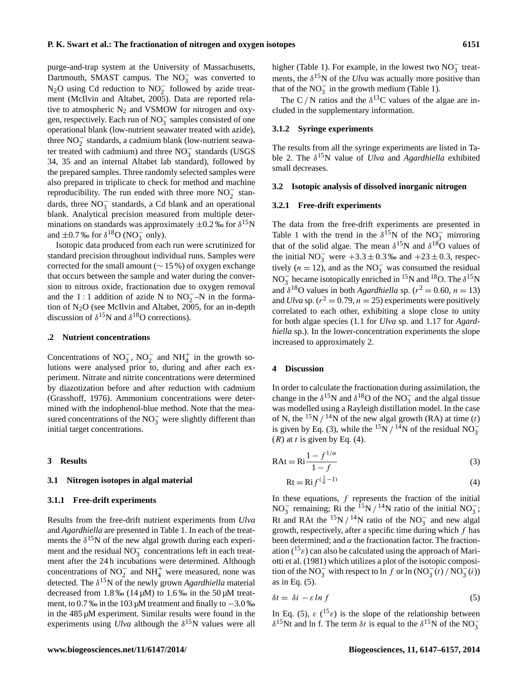purge-and-trap system at the University of Massachusetts, Dartmouth, SMAST campus. The  $NO_3^-$  was converted to N<sub>2</sub>O using Cd reduction to NO<sub>2</sub> followed by azide treatment (McIlvin and Altabet, 2005). Data are reported relative to atmospheric  $N_2$  and VSMOW for nitrogen and oxygen, respectively. Each run of  $NO_3^-$  samples consisted of one operational blank (low-nutrient seawater treated with azide), three  $NO<sub>2</sub><sup>-</sup>$  standards, a cadmium blank (low-nutrient seawater treated with cadmium) and three NO<sub>3</sub> standards (USGS 34, 35 and an internal Altabet lab standard), followed by the prepared samples. Three randomly selected samples were also prepared in triplicate to check for method and machine reproducibility. The run ended with three more  $NO<sub>2</sub><sup>-</sup>$  standards, three  $NO_3^-$  standards, a Cd blank and an operational blank. Analytical precision measured from multiple determinations on standards was approximately  $\pm 0.2$  ‰ for  $\delta^{15}N$ and  $\pm 0.7$  ‰ for  $\delta^{18}$ O (NO<sub>3</sub> only).

Isotopic data produced from each run were scrutinized for standard precision throughout individual runs. Samples were corrected for the small amount ( $\sim$  15 %) of oxygen exchange that occurs between the sample and water during the conversion to nitrous oxide, fractionation due to oxygen removal and the 1 : 1 addition of azide N to  $NO<sub>2</sub><sup>-</sup>-N$  in the formation of N2O (see McIlvin and Altabet, 2005, for an in-depth discussion of  $\delta^{15}$ N and  $\delta^{18}$ O corrections).

#### **.2 Nutrient concentrations**

Concentrations of  $NO_3^-$ ,  $NO_2^-$  and  $NH_4^+$  in the growth solutions were analysed prior to, during and after each experiment. Nitrate and nitrite concentrations were determined by diazotization before and after reduction with cadmium (Grasshoff, 1976). Ammonium concentrations were determined with the indophenol-blue method. Note that the measured concentrations of the  $NO_3^-$  were slightly different than initial target concentrations.

#### **3 Results**

#### **3.1 Nitrogen isotopes in algal material**

#### **3.1.1 Free-drift experiments**

Results from the free-drift nutrient experiments from *Ulva* and *Agardhiella* are presented in Table 1. In each of the treatments the  $\delta^{15}$ N of the new algal growth during each experiment and the residual  $NO_3^-$  concentrations left in each treatment after the 24 h incubations were determined. Although concentrations of  $NO_2^-$  and  $NH_4^+$  were measured, none was detected. The δ <sup>15</sup>N of the newly grown *Agardhiella* material decreased from  $1.8\%$  (14  $\mu$ M) to 1.6% in the 50  $\mu$ M treatment, to 0.7 ‰ in the 103 µM treatment and finally to −3.0 ‰ in the 485 µM experiment. Similar results were found in the experiments using  $U$ lva although the  $\delta^{15}$ N values were all

higher (Table 1). For example, in the lowest two  $NO_3^-$  treatments, the  $\delta^{15}$ N of the *Ulva* was actually more positive than that of the  $NO_3^-$  in the growth medium (Table 1).

The C / N ratios and the  $\delta^{13}$ C values of the algae are included in the supplementary information.

#### **3.1.2 Syringe experiments**

The results from all the syringe experiments are listed in Table 2. The  $\delta^{15}N$  value of *Ulva* and *Agardhiella* exhibited small decreases.

#### **3.2 Isotopic analysis of dissolved inorganic nitrogen**

# **3.2.1 Free-drift experiments**

The data from the free-drift experiments are presented in Table 1 with the trend in the  $\delta^{15}$ N of the NO<sub>3</sub> mirroring that of the solid algae. The mean  $\delta^{15}$ N and  $\delta^{18}$ O values of the initial NO<sub>3</sub> were  $+3.3 \pm 0.3$  ‰ and  $+23 \pm 0.3$ , respectively ( $n = 12$ ), and as the NO<sub>3</sub> was consumed the residual NO<sub>3</sub> became isotopically enriched in <sup>15</sup>N and <sup>18</sup>O. The  $\delta^{15}N$ and  $\delta^{18}$ O values in both *Agardhiella* sp. ( $r^2 = 0.60$ ,  $n = 13$ ) and *Ulva* sp.  $(r^2 = 0.79, n = 25)$  experiments were positively correlated to each other, exhibiting a slope close to unity for both algae species (1.1 for *Ulva* sp. and 1.17 for *Agardhiella* sp.). In the lower-concentration experiments the slope increased to approximately 2.

#### **4 Discussion**

In order to calculate the fractionation during assimilation, the change in the  $\delta^{15}$ N and  $\delta^{18}$ O of the NO<sub>3</sub> and the algal tissue was modelled using a Rayleigh distillation model. In the case of N, the  $^{15}N/^{14}N$  of the new algal growth (RA) at time (t) is given by Eq. (3), while the <sup>15</sup>N / <sup>14</sup>N of the residual NO<sub>3</sub>  $(R)$  at t is given by Eq. (4).

$$
RAt = Ri \frac{1 - f^{1/\alpha}}{1 - f}
$$
 (3)

$$
Rt = Rif^{(\frac{1}{\alpha} - 1)} \tag{4}
$$

In these equations,  $f$  represents the fraction of the initial NO<sub>3</sub> remaining; Ri the <sup>15</sup>N / <sup>14</sup>N ratio of the initial NO<sub>3</sub>; Rt and RAt the  $15N / 14N$  ratio of the NO<sub>3</sub> and new algal growth, respectively, after a specific time during which  $f$  has been determined; and  $\alpha$  the fractionation factor. The fractionation ( $^{15}$ ε) can also be calculated using the approach of Mariotti et al. (1981) which utilizes a plot of the isotopic composition of the NO<sub>3</sub><sup> $-$ </sup> with respect to ln f or ln (NO<sub>3</sub><sup> $-$ </sup>(t) / NO<sub>3</sub><sup> $-$ </sup>(t)) as in Eq. (5).

$$
\delta t = \delta i - \varepsilon \ln f \tag{5}
$$

In Eq. (5),  $\varepsilon$  (<sup>15</sup> $\varepsilon$ ) is the slope of the relationship between  $\delta^{15}$ Nt and ln f. The term  $\delta t$  is equal to the  $\delta^{15}$ N of the NO<sub>3</sub>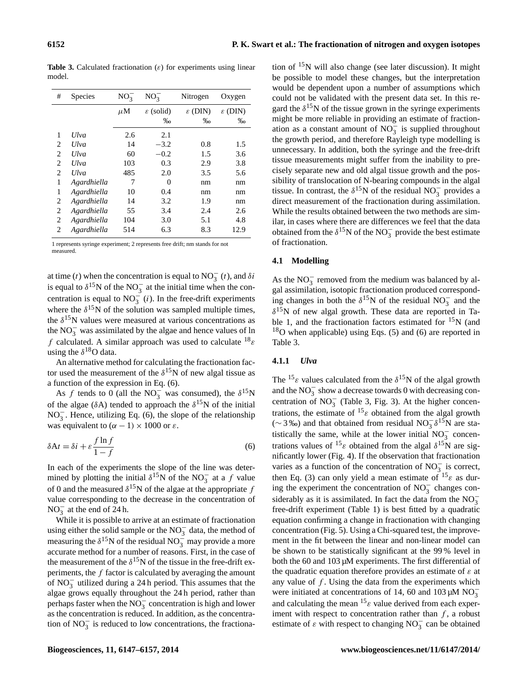**Table 3.** Calculated fractionation  $(\varepsilon)$  for experiments using linear model.

| #              | <b>Species</b> | $NO_3^-$ | $NO_3^-$           | Nitrogen            | Oxygen              |
|----------------|----------------|----------|--------------------|---------------------|---------------------|
|                |                | $\mu$ M  | $\epsilon$ (solid) | $\varepsilon$ (DIN) | $\varepsilon$ (DIN) |
|                |                |          | $\%$               | $\%$ o              | $\%$ o              |
| 1              | Ulva           | 2.6      | 2.1                |                     |                     |
| 2              | Ulva           | 14       | $-3.2$             | 0.8                 | 1.5                 |
| $\mathfrak{D}$ | <b>Ulva</b>    | 60       | $-0.2$             | 1.5                 | 3.6                 |
| 2              | <b>Ulva</b>    | 103      | 0.3                | 2.9                 | 3.8                 |
| $\mathfrak{D}$ | $U$ lva        | 485      | 2.0                | 3.5                 | 5.6                 |
| 1              | Agardhiella    | 7        | 0                  | nm                  | nm                  |
| 1              | Agardhiella    | 10       | 0.4                | nm                  | nm                  |
| 2              | Agardhiella    | 14       | 3.2                | 1.9                 | nm                  |
| 2              | Agardhiella    | 55       | 3.4                | 2.4                 | 2.6                 |
| 2              | Agardhiella    | 104      | 3.0                | 5.1                 | 4.8                 |
| 2              | Agardhiella    | 514      | 6.3                | 8.3                 | 12.9                |

1 represents syringe experiment; 2 represents free drift; nm stands for not measured.

at time (t) when the concentration is equal to  $NO_3^-$  (t), and  $\delta i$ is equal to  $\delta^{15}$ N of the NO<sub>3</sub> at the initial time when the concentration is equal to  $NO_3^-$  (*i*). In the free-drift experiments where the  $\delta^{15}$ N of the solution was sampled multiple times, the  $\delta^{15}$ N values were measured at various concentrations as the  $NO_3^-$  was assimilated by the algae and hence values of ln f calculated. A similar approach was used to calculate  $^{18}$  $\varepsilon$ using the  $\delta^{18}$ O data.

An alternative method for calculating the fractionation factor used the measurement of the  $\delta^{15}$ N of new algal tissue as a function of the expression in Eq. (6).

As f tends to 0 (all the NO<sub>3</sub><sup>-</sup> was consumed), the  $\delta^{15}N$ of the algae ( $\delta$ A) tended to approach the  $\delta^{15}$ N of the initial NO<sub>3</sub>. Hence, utilizing Eq. (6), the slope of the relationship was equivalent to  $(\alpha - 1) \times 1000$  or  $\varepsilon$ .

$$
\delta A t = \delta i + \varepsilon \frac{f \ln f}{1 - f} \tag{6}
$$

In each of the experiments the slope of the line was determined by plotting the initial  $\delta^{15}$ N of the NO<sub>3</sub><sup>-</sup> at a f value of 0 and the measured  $\delta^{15}$ N of the algae at the appropriate f value corresponding to the decrease in the concentration of NO<sub>3</sub><sup> $\alpha$ </sup> at the end of 24 h.

While it is possible to arrive at an estimate of fractionation using either the solid sample or the  $NO_3^-$  data, the method of measuring the  $\delta^{15}$ N of the residual NO<sub>3</sub><sup>-</sup> may provide a more accurate method for a number of reasons. First, in the case of the measurement of the  $\delta^{15}$ N of the tissue in the free-drift experiments, the  $f$  factor is calculated by averaging the amount of  $NO_3^-$  utilized during a 24 h period. This assumes that the algae grows equally throughout the 24 h period, rather than perhaps faster when the  $\overline{NO_3^-}$  concentration is high and lower as the concentration is reduced. In addition, as the concentration of  $NO_3^-$  is reduced to low concentrations, the fractionation of  $15N$  will also change (see later discussion). It might be possible to model these changes, but the interpretation would be dependent upon a number of assumptions which could not be validated with the present data set. In this regard the  $\delta^{15}$ N of the tissue grown in the syringe experiments might be more reliable in providing an estimate of fractionation as a constant amount of  $NO_3^-$  is supplied throughout the growth period, and therefore Rayleigh type modelling is unnecessary. In addition, both the syringe and the free-drift tissue measurements might suffer from the inability to precisely separate new and old algal tissue growth and the possibility of translocation of N-bearing compounds in the algal tissue. In contrast, the  $\delta^{15}N$  of the residual NO<sub>3</sub> provides a direct measurement of the fractionation during assimilation. While the results obtained between the two methods are similar, in cases where there are differences we feel that the data obtained from the  $\delta^{15}$ N of the NO<sub>3</sub> provide the best estimate of fractionation.

# **4.1 Modelling**

As the  $NO_3^-$  removed from the medium was balanced by algal assimilation, isotopic fractionation produced corresponding changes in both the  $\delta^{15}N$  of the residual  $NO_3^-$  and the  $\delta^{15}$ N of new algal growth. These data are reported in Table 1, and the fractionation factors estimated for  $^{15}N$  (and  $18$ O when applicable) using Eqs. (5) and (6) are reported in Table 3.

# **4.1.1** *Ulva*

The  ${}^{15}\varepsilon$  values calculated from the  $\delta {}^{15}N$  of the algal growth and the  $NO_3^-$  show a decrease towards 0 with decreasing concentration of  $NO_3^-$  (Table 3, Fig. 3). At the higher concentrations, the estimate of  $15\varepsilon$  obtained from the algal growth (∼3‰) and that obtained from residual NO<sub>3</sub>  $\delta^{15}$ N are statistically the same, while at the lower initial  $NO<sub>3</sub><sup>-</sup>$  concentrations values of <sup>15</sup> $\varepsilon$  obtained from the algal  $\delta^{15}N$  are significantly lower (Fig. 4). If the observation that fractionation varies as a function of the concentration of  $NO_3^-$  is correct, then Eq. (3) can only yield a mean estimate of  $15\epsilon$  as during the experiment the concentration of  $NO_3^-$  changes considerably as it is assimilated. In fact the data from the  $NO_3^$ free-drift experiment (Table 1) is best fitted by a quadratic equation confirming a change in fractionation with changing concentration (Fig. 5). Using a Chi-squared test, the improvement in the fit between the linear and non-linear model can be shown to be statistically significant at the 99 % level in both the 60 and 103 µM experiments. The first differential of the quadratic equation therefore provides an estimate of  $\varepsilon$  at any value of  $f$ . Using the data from the experiments which were initiated at concentrations of 14, 60 and 103  $\mu$ M NO<sub>3</sub> and calculating the mean  ${}^{15}$  value derived from each experiment with respect to concentration rather than  $f$ , a robust estimate of  $\varepsilon$  with respect to changing NO<sub>3</sub> can be obtained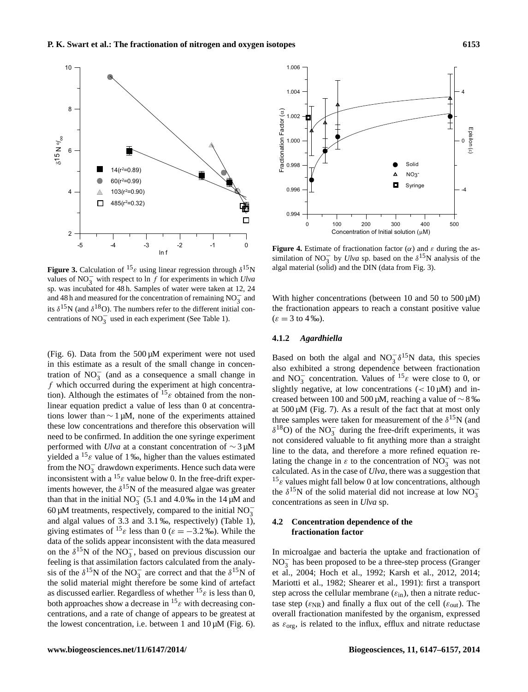

**Figure 3.** Calculation of  ${}^{15} \varepsilon$  using linear regression through  $\delta {}^{15}N$ values of NO<sub>3</sub><sup> $\frac{1}{3}$ </sup> with respect to ln f for experiments in which *Ulva* sp. was incubated for 48 h. Samples of water were taken at 12, 24 and 48 h and measured for the concentration of remaining  $NO_3^-$  and its  $\delta^{15}$ N (and  $\delta^{18}$ O). The numbers refer to the different initial concentrations of  $NO_3^-$  used in each experiment (See Table 1).

(Fig. 6). Data from the  $500 \mu$ M experiment were not used in this estimate as a result of the small change in concentration of  $NO_3^-$  (and as a consequence a small change in  $f$  which occurred during the experiment at high concentration). Although the estimates of  ${}^{15}$  c obtained from the nonlinear equation predict a value of less than 0 at concentrations lower than  $\sim 1 \mu M$ , none of the experiments attained these low concentrations and therefore this observation will need to be confirmed. In addition the one syringe experiment performed with *Ulva* at a constant concentration of ∼ 3 µM yielded a  $^{15}$ ε value of 1 ‰, higher than the values estimated from the  $NO_3^-$  drawdown experiments. Hence such data were inconsistent with a  $^{15}$  *ε* value below 0. In the free-drift experiments however, the  $\delta^{15}$ N of the measured algae was greater than that in the initial NO<sub>3</sub> (5.1 and 4.0‰ in the 14  $\mu$ M and 60 µM treatments, respectively, compared to the initial  $NO_3^$ and algal values of 3.3 and 3.1 ‰, respectively) (Table 1), giving estimates of <sup>15</sup> $\varepsilon$  less than 0 ( $\varepsilon = -3.2$  ‰). While the data of the solids appear inconsistent with the data measured on the  $\delta^{15}$ N of the NO<sub>3</sub><sup>-</sup>, based on previous discussion our feeling is that assimilation factors calculated from the analysis of the  $\delta^{15}N$  of the NO<sub>3</sub> are correct and that the  $\delta^{15}N$  of the solid material might therefore be some kind of artefact as discussed earlier. Regardless of whether  $^{15}$   $\varepsilon$  is less than 0, both approaches show a decrease in  ${}^{15}$  $\varepsilon$  with decreasing concentrations, and a rate of change of appears to be greatest at the lowest concentration, i.e. between 1 and  $10 \mu M$  (Fig. 6).



**Figure 4.** Estimate of fractionation factor  $(\alpha)$  and  $\varepsilon$  during the assimilation of NO<sub>3</sub> by *Ulva* sp. based on the  $\delta^{15}$ N analysis of the algal material (solid) and the DIN (data from Fig. 3).

With higher concentrations (between 10 and 50 to 500  $\mu$ M) the fractionation appears to reach a constant positive value  $(\varepsilon = 3 \text{ to } 4 \text{ %})$ .

# **4.1.2** *Agardhiella*

Based on both the algal and  $NO_3^- \delta^{15}N$  data, this species also exhibited a strong dependence between fractionation and NO<sub>3</sub> concentration. Values of <sup>15</sup> $\varepsilon$  were close to 0, or slightly negative, at low concentrations  $\left($  < 10  $\mu$ M) and increased between 100 and 500 µM, reaching a value of ∼ 8 ‰ at  $500 \mu M$  (Fig. 7). As a result of the fact that at most only three samples were taken for measurement of the  $\delta^{15}N$  (and  $\delta^{18}$ O) of the NO<sub>3</sub> during the free-drift experiments, it was not considered valuable to fit anything more than a straight line to the data, and therefore a more refined equation relating the change in  $\varepsilon$  to the concentration of NO<sub>3</sub><sup>-</sup> was not calculated. As in the case of *Ulva*, there was a suggestion that  $15\varepsilon$  values might fall below 0 at low concentrations, although the  $\delta^{15}$ N of the solid material did not increase at low NO<sub>3</sub> concentrations as seen in *Ulva* sp.

# **4.2 Concentration dependence of the fractionation factor**

In microalgae and bacteria the uptake and fractionation of NO<sup>−</sup> 3 has been proposed to be a three-step process (Granger et al., 2004; Hoch et al., 1992; Karsh et al., 2012, 2014; Mariotti et al., 1982; Shearer et al., 1991): first a transport step across the cellular membrane  $(\varepsilon_{\text{in}})$ , then a nitrate reductase step ( $\varepsilon_{\text{NR}}$ ) and finally a flux out of the cell ( $\varepsilon_{\text{out}}$ ). The overall fractionation manifested by the organism, expressed as  $\varepsilon_{\text{org}}$ , is related to the influx, efflux and nitrate reductase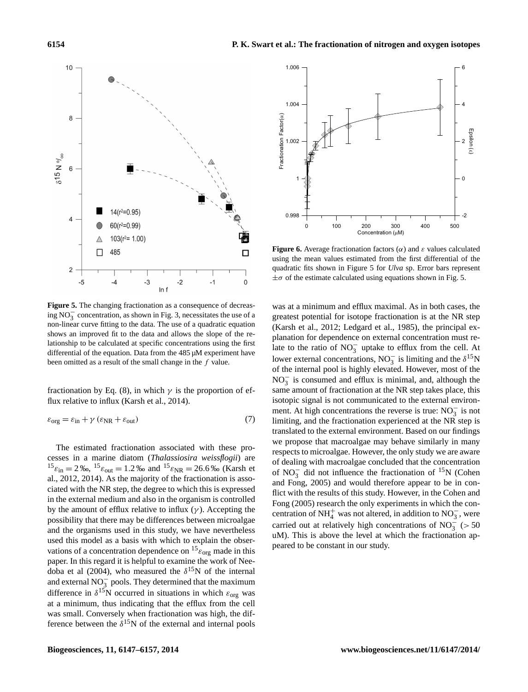

**Figure 5.** The changing fractionation as a consequence of decreasing  $NO_3^-$  concentration, as shown in Fig. 3, necessitates the use of a non-linear curve fitting to the data. The use of a quadratic equation shows an improved fit to the data and allows the slope of the relationship to be calculated at specific concentrations using the first differential of the equation. Data from the 485 µM experiment have been omitted as a result of the small change in the f value.

fractionation by Eq. (8), in which  $\gamma$  is the proportion of efflux relative to influx (Karsh et al., 2014).

$$
\varepsilon_{\text{org}} = \varepsilon_{\text{in}} + \gamma \left( \varepsilon_{\text{NR}} + \varepsilon_{\text{out}} \right) \tag{7}
$$

The estimated fractionation associated with these processes in a marine diatom (*Thalassiosira weissflogii*) are  $^{15} \varepsilon_{\text{in}} = 2\%$ ,  $^{15} \varepsilon_{\text{out}} = 1.2\%$  and  $^{15} \varepsilon_{\text{NR}} = 26.6\%$  (Karsh et al., 2012, 2014). As the majority of the fractionation is associated with the NR step, the degree to which this is expressed in the external medium and also in the organism is controlled by the amount of efflux relative to influx  $(\gamma)$ . Accepting the possibility that there may be differences between microalgae and the organisms used in this study, we have nevertheless used this model as a basis with which to explain the observations of a concentration dependence on  $^{15} \varepsilon_{\text{org}}$  made in this paper. In this regard it is helpful to examine the work of Needoba et al (2004), who measured the  $\delta^{15}$ N of the internal and external  $NO_3^-$  pools. They determined that the maximum difference in  $\delta^{15}$ N occurred in situations in which  $\varepsilon_{org}$  was at a minimum, thus indicating that the efflux from the cell was small. Conversely when fractionation was high, the difference between the  $\delta^{15}$ N of the external and internal pools



quadratic fits shown in Figure 5 for *Ulva* sp. Error bars represent **Figure 6.** Average fractionation factors  $(\alpha)$  and  $\varepsilon$  values calculated using the mean values estimated from the first differential of the  $\pm\sigma$  of the estimate calculated using equations shown in Fig. 5.

was at a minimum and efflux maximal. As in both cases, the greatest potential for isotope fractionation is at the NR step (Karsh et al., 2012; Ledgard et al., 1985), the principal explanation for dependence on external concentration must relate to the ratio of  $NO_3^-$  uptake to efflux from the cell. At lower external concentrations, NO<sub>3</sub> is limiting and the  $\delta^{15}N$ of the internal pool is highly elevated. However, most of the  $NO<sub>3</sub><sup>-</sup>$  is consumed and efflux is minimal, and, although the same amount of fractionation at the NR step takes place, this isotopic signal is not communicated to the external environment. At high concentrations the reverse is true:  $NO_3^-$  is not limiting, and the fractionation experienced at the NR step is translated to the external environment. Based on our findings we propose that macroalgae may behave similarly in many respects to microalgae. However, the only study we are aware of dealing with macroalgae concluded that the concentration of NO<sub>3</sub> did not influence the fractionation of <sup>15</sup>N (Cohen and Fong, 2005) and would therefore appear to be in conflict with the results of this study. However, in the Cohen and Fong (2005) research the only experiments in which the concentration of NH<sup>+</sup><sub>4</sub> was not altered, in addition to NO<sub>3</sub><sup>-</sup>, were carried out at relatively high concentrations of NO<sub>3</sub><sup> $\leq$ </sup> (> 50 uM). This is above the level at which the fractionation appeared to be constant in our study.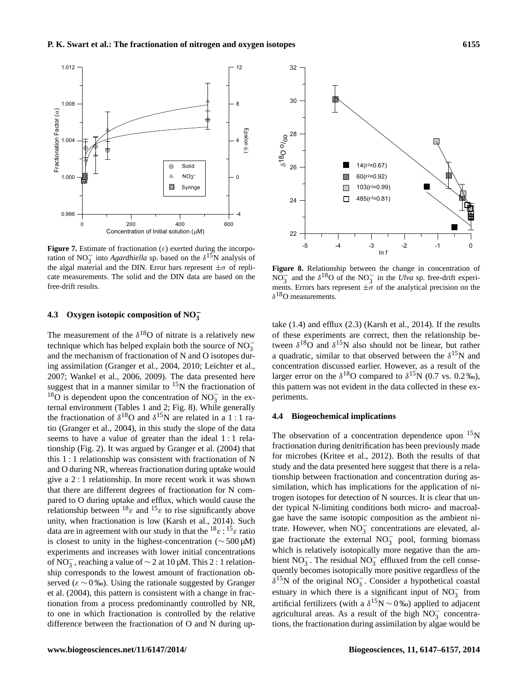

cate measurements. The solid and the DIN data are based on the **Figure 7.** Estimate of fractionation ( $\varepsilon$ ) exerted during the incorporation of NO<sub>3</sub> into *Agardhiella* sp. based on the  $\delta^{15}$ N analysis of the algal material and the DIN. Error bars represent  $\pm \sigma$  of replifree-drift results.

# **4.3 Oxygen isotopic composition of NO**<sup>−</sup> **3**

The measurement of the  $\delta^{18}$ O of nitrate is a relatively new technique which has helped explain both the source of  $NO_3^$ and the mechanism of fractionation of N and O isotopes during assimilation (Granger et al., 2004, 2010; Leichter et al., 2007; Wankel et al., 2006, 2009). The data presented here suggest that in a manner similar to  $15N$  the fractionation of  $18\overline{O}$  is dependent upon the concentration of NO<sub>3</sub> in the external environment (Tables 1 and 2; Fig. 8). While generally the fractionation of  $\delta^{18}$ O and  $\delta^{15}$ N are related in a 1 : 1 ratio (Granger et al., 2004), in this study the slope of the data seems to have a value of greater than the ideal 1 : 1 relationship (Fig. 2). It was argued by Granger et al. (2004) that this 1 : 1 relationship was consistent with fractionation of N and O during NR, whereas fractionation during uptake would give a 2 : 1 relationship. In more recent work it was shown that there are different degrees of fractionation for N compared to O during uptake and efflux, which would cause the relationship between  $^{18}\varepsilon$  and  $^{15}\varepsilon$  to rise significantly above unity, when fractionation is low (Karsh et al., 2014). Such data are in agreement with our study in that the  $^{18} \varepsilon : {^{15} \varepsilon}$  ratio is closest to unity in the highest-concentration (∼ 500 µM) experiments and increases with lower initial concentrations of NO<sub>3</sub><sup>-</sup>, reaching a value of  $\sim$  2 at 10 µM. This 2 : 1 relationship corresponds to the lowest amount of fractionation observed ( $\varepsilon \sim 0$  ‰). Using the rationale suggested by Granger et al. (2004), this pattern is consistent with a change in fractionation from a process predominantly controlled by NR, to one in which fractionation is controlled by the relative difference between the fractionation of O and N during up-



**Figure 8.** Relationship between the change in concentration of NO<sub>3</sub> and the  $\delta^{18}$ O of the NO<sub>3</sub> in the *Ulva* sp. free-drift experiments. Errors bars represent  $\pm \sigma$  of the analytical precision on the  $\delta^{18}$ O measurements.

take (1.4) and efflux (2.3) (Karsh et al., 2014). If the results of these experiments are correct, then the relationship between  $\delta^{18}$ O and  $\delta^{15}$ N also should not be linear, but rather a quadratic, similar to that observed between the  $\delta^{15}$ N and concentration discussed earlier. However, as a result of the larger error on the  $\delta^{18}$ O compared to  $\delta^{15}$ N (0.7 vs. 0.2 ‰), this pattern was not evident in the data collected in these experiments.

# **4.4 Biogeochemical implications**

The observation of a concentration dependence upon  $15N$ fractionation during denitrification has been previously made for microbes (Kritee et al., 2012). Both the results of that study and the data presented here suggest that there is a relationship between fractionation and concentration during assimilation, which has implications for the application of nitrogen isotopes for detection of N sources. It is clear that under typical N-limiting conditions both micro- and macroalgae have the same isotopic composition as the ambient nitrate. However, when  $\overline{NO_3^-}$  concentrations are elevated, algae fractionate the external  $NO_3^-$  pool, forming biomass which is relatively isotopically more negative than the ambient  $NO_3^-$ . The residual  $NO_3^-$  effluxed from the cell consequently becomes isotopically more positive regardless of the  $\delta^{15}$ N of the original NO<sub>3</sub>. Consider a hypothetical coastal estuary in which there is a significant input of  $NO<sub>3</sub><sup>-</sup>$  from artificial fertilizers (with a  $\delta^{15}N \sim 0$  ‰) applied to adjacent agricultural areas. As a result of the high  $NO_3^-$  concentrations, the fractionation during assimilation by algae would be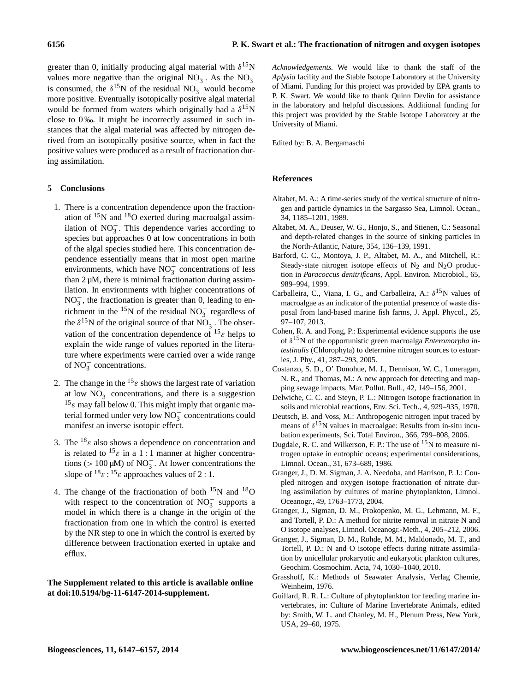greater than 0, initially producing algal material with  $\delta^{15}N$ values more negative than the original  $NO_3^-$ . As the  $NO_3^$ is consumed, the  $\delta^{15}$ N of the residual NO<sub>3</sub> would become more positive. Eventually isotopically positive algal material would be formed from waters which originally had a  $\delta^{15}$ N close to 0 ‰. It might be incorrectly assumed in such instances that the algal material was affected by nitrogen derived from an isotopically positive source, when in fact the positive values were produced as a result of fractionation during assimilation.

## **5 Conclusions**

- 1. There is a concentration dependence upon the fractionation of  $15N$  and  $18O$  exerted during macroalgal assimilation of  $NO_3^-$ . This dependence varies according to species but approaches 0 at low concentrations in both of the algal species studied here. This concentration dependence essentially means that in most open marine environments, which have  $NO_3^-$  concentrations of less than  $2 \mu M$ , there is minimal fractionation during assimilation. In environments with higher concentrations of  $NO<sub>3</sub><sup>-</sup>$ , the fractionation is greater than 0, leading to enrichment in the <sup>15</sup>N of the residual NO<sub>3</sub><sup>-</sup> regardless of the  $\delta^{15}$ N of the original source of that NO<sub>3</sub>. The observation of the concentration dependence of  $^{15} \varepsilon$  helps to explain the wide range of values reported in the literature where experiments were carried over a wide range of  $NO_3^-$  concentrations.
- 2. The change in the  $15\varepsilon$  shows the largest rate of variation at low  $NO<sub>3</sub><sup>-</sup>$  concentrations, and there is a suggestion  $15\varepsilon$  may fall below 0. This might imply that organic material formed under very low  $\overline{NO_3^-}$  concentrations could manifest an inverse isotopic effect.
- 3. The  $^{18}$  $\varepsilon$  also shows a dependence on concentration and is related to  $15\varepsilon$  in a 1 : 1 manner at higher concentrations (> 100 µM) of NO<sub>3</sub>. At lower concentrations the slope of  $18\varepsilon$ :  $15\varepsilon$  approaches values of 2 : 1.
- 4. The change of the fractionation of both  $^{15}N$  and  $^{18}O$ with respect to the concentration of  $NO_3^-$  supports a model in which there is a change in the origin of the fractionation from one in which the control is exerted by the NR step to one in which the control is exerted by difference between fractionation exerted in uptake and efflux.

# **The Supplement related to this article is available online at [doi:10.5194/bg-11-6147-2014-supplement.](http://dx.doi.org/10.5194/bg-11-6147-2014-supplement)**

*Acknowledgements.* We would like to thank the staff of the *Aplysia* facility and the Stable Isotope Laboratory at the University of Miami. Funding for this project was provided by EPA grants to P. K. Swart. We would like to thank Quinn Devlin for assistance in the laboratory and helpful discussions. Additional funding for this project was provided by the Stable Isotope Laboratory at the University of Miami.

Edited by: B. A. Bergamaschi

# **References**

- Altabet, M. A.: A time-series study of the vertical structure of nitrogen and particle dynamics in the Sargasso Sea, Limnol. Ocean., 34, 1185–1201, 1989.
- Altabet, M. A., Deuser, W. G., Honjo, S., and Stienen, C.: Seasonal and depth-related changes in the source of sinking particles in the North-Atlantic, Nature, 354, 136–139, 1991.
- Barford, C. C., Montoya, J. P., Altabet, M. A., and Mitchell, R.: Steady-state nitrogen isotope effects of  $N_2$  and  $N_2O$  production in *Paracoccus denitrificans*, Appl. Environ. Microbiol., 65, 989–994, 1999.
- Carballeira, C., Viana, I. G., and Carballeira, A.:  $\delta^{15}N$  values of macroalgae as an indicator of the potential presence of waste disposal from land-based marine fish farms, J. Appl. Phycol., 25, 97–107, 2013.
- Cohen, R. A. and Fong, P.: Experimental evidence supports the use of δ <sup>15</sup>N of the opportunistic green macroalga *Enteromorpha intestinalis* (Chlorophyta) to determine nitrogen sources to estuaries, J. Phy., 41, 287–293, 2005.
- Costanzo, S. D., O' Donohue, M. J., Dennison, W. C., Loneragan, N. R., and Thomas, M.: A new approach for detecting and mapping sewage impacts, Mar. Pollut. Bull., 42, 149–156, 2001.
- Delwiche, C. C. and Steyn, P. L.: Nitrogen isotope fractionation in soils and microbial reactions, Env. Sci. Tech., 4, 929–935, 1970.
- Deutsch, B. and Voss, M.: Anthropogenic nitrogen input traced by means of  $\delta^{15}N$  values in macroalgae: Results from in-situ incubation experiments, Sci. Total Environ., 366, 799–808, 2006.
- Dugdale, R. C. and Wilkerson, F. P.: The use of <sup>15</sup>N to measure nitrogen uptake in eutrophic oceans; experimental considerations, Limnol. Ocean., 31, 673–689, 1986.
- Granger, J., D. M. Sigman, J. A. Needoba, and Harrison, P. J.: Coupled nitrogen and oxygen isotope fractionation of nitrate during assimilation by cultures of marine phytoplankton, Limnol. Oceanogr., 49, 1763–1773, 2004.
- Granger, J., Sigman, D. M., Prokopenko, M. G., Lehmann, M. F., and Tortell, P. D.: A method for nitrite removal in nitrate N and O isotope analyses, Limnol. Oceanogr.-Meth., 4, 205–212, 2006.
- Granger, J., Sigman, D. M., Rohde, M. M., Maldonado, M. T., and Tortell, P. D.: N and O isotope effects during nitrate assimilation by unicellular prokaryotic and eukaryotic plankton cultures, Geochim. Cosmochim. Acta, 74, 1030–1040, 2010.
- Grasshoff, K.: Methods of Seawater Analysis, Verlag Chemie, Weinheim, 1976.
- Guillard, R. R. L.: Culture of phytoplankton for feeding marine invertebrates, in: Culture of Marine Invertebrate Animals, edited by: Smith, W. L. and Chanley, M. H., Plenum Press, New York, USA, 29–60, 1975.